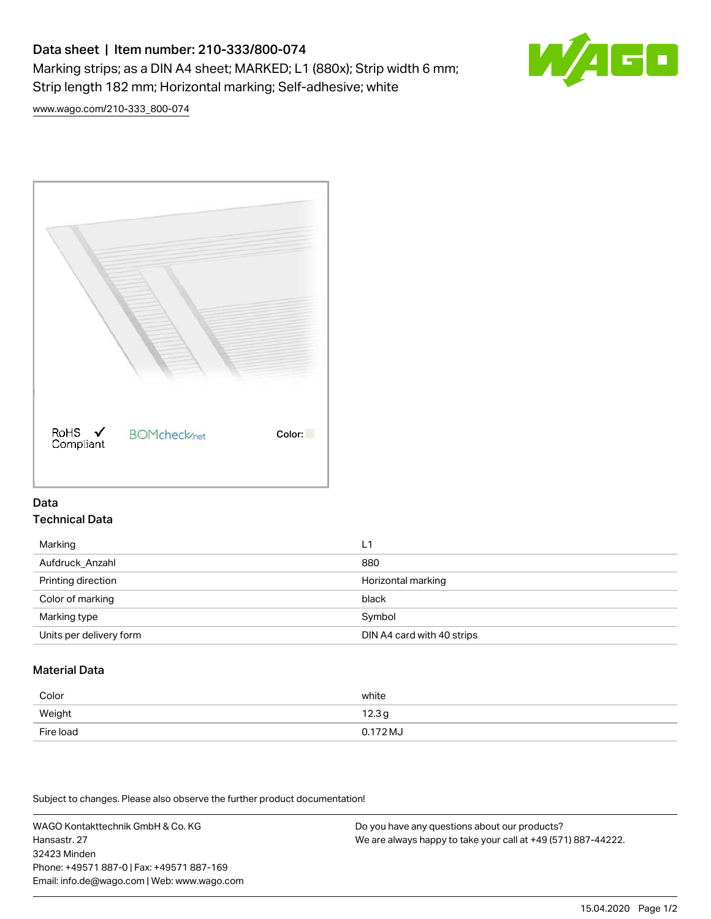# Data sheet | Item number: 210-333/800-074 Marking strips; as a DIN A4 sheet; MARKED; L1 (880x); Strip width 6 mm; Strip length 182 mm; Horizontal marking; Self-adhesive; white



[www.wago.com/210-333\\_800-074](http://www.wago.com/210-333_800-074)



## Data Technical Data

| Marking                 | L1                         |
|-------------------------|----------------------------|
| Aufdruck_Anzahl         | 880                        |
| Printing direction      | Horizontal marking         |
| Color of marking        | black                      |
| Marking type            | Symbol                     |
| Units per delivery form | DIN A4 card with 40 strips |

# Material Data

| Color     | white             |
|-----------|-------------------|
| Weight    | 12.3 <sub>g</sub> |
| Fire load | $0.172 M_J$       |

Subject to changes. Please also observe the further product documentation!

WAGO Kontakttechnik GmbH & Co. KG Hansastr. 27 32423 Minden Phone: +49571 887-0 | Fax: +49571 887-169 Email: info.de@wago.com | Web: www.wago.com

Do you have any questions about our products? We are always happy to take your call at +49 (571) 887-44222.